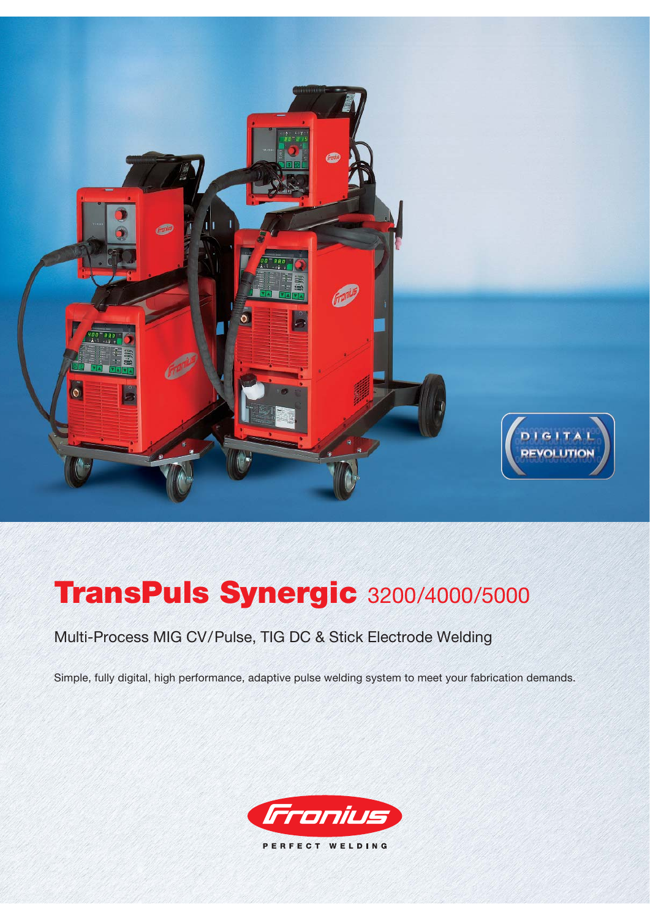

# **TransPuls Synergic** 3200/4000/5000

# Multi-Process MIG CV/Pulse, TIG DC & Stick Electrode Welding

Simple, fully digital, high performance, adaptive pulse welding system to meet your fabrication demands.